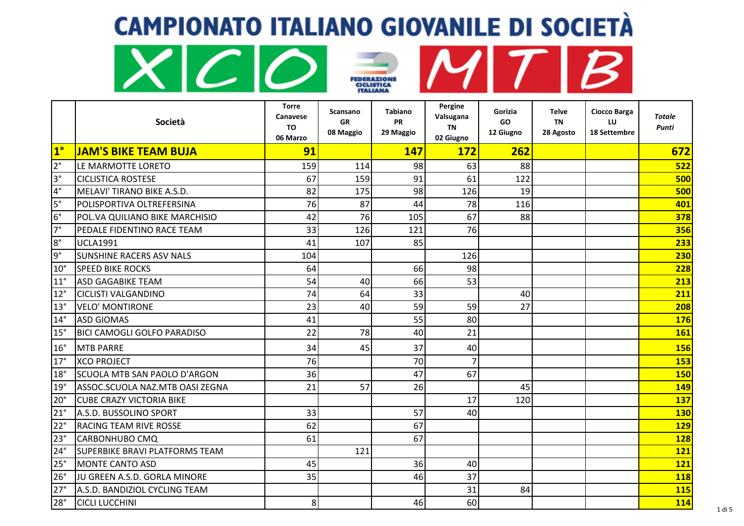







|              | Società                               | <b>Torre</b><br>Canavese<br>TO<br>06 Marzo | <b>Scansano</b><br><b>GR</b><br>08 Maggio | <b>Tabiano</b><br><b>PR</b><br>29 Maggio | Pergine<br>Valsugana<br>TN<br>02 Giugno | Gorizia<br><b>GO</b><br>12 Giugno | Telve<br><b>TN</b><br>28 Agosto | Ciocco Barga<br>LU<br>18 Settembre | <b>Totale</b><br>Punti |
|--------------|---------------------------------------|--------------------------------------------|-------------------------------------------|------------------------------------------|-----------------------------------------|-----------------------------------|---------------------------------|------------------------------------|------------------------|
| $1^\circ$    | <b>JAM'S BIKE TEAM BUJA</b>           | 91                                         |                                           | 147                                      | <b>172</b>                              | 262                               |                                 |                                    | 672                    |
| $2^{\circ}$  | LE MARMOTTE LORETO                    | 159                                        | 114                                       | 98                                       | 63                                      | 88                                |                                 |                                    | 522                    |
| $3^{\circ}$  | <b>CICLISTICA ROSTESE</b>             | 67                                         | 159                                       | 91                                       | 61                                      | 122                               |                                 |                                    | 500                    |
| $4^{\circ}$  | MELAVI' TIRANO BIKE A.S.D.            | 82                                         | 175                                       | 98                                       | 126                                     | 19                                |                                 |                                    | 500                    |
| $5^{\circ}$  | POLISPORTIVA OLTREFERSINA             | 76                                         | 87                                        | 44                                       | 78                                      | 116                               |                                 |                                    | 401                    |
| $6^{\circ}$  | POL.VA QUILIANO BIKE MARCHISIO        | 42                                         | 76                                        | 105                                      | 67                                      | 88                                |                                 |                                    | 378                    |
| $7^\circ$    | PEDALE FIDENTINO RACE TEAM            | 33                                         | 126                                       | 121                                      | 76                                      |                                   |                                 |                                    | 356                    |
| $8^{\circ}$  | <b>UCLA1991</b>                       | 41                                         | 107                                       | 85                                       |                                         |                                   |                                 |                                    | 233                    |
| $9^{\circ}$  | <b>SUNSHINE RACERS ASV NALS</b>       | 104                                        |                                           |                                          | 126                                     |                                   |                                 |                                    | 230                    |
| $10^{\circ}$ | <b>SPEED BIKE ROCKS</b>               | 64                                         |                                           | 66                                       | 98                                      |                                   |                                 |                                    | 228                    |
| $11^{\circ}$ | <b>ASD GAGABIKE TEAM</b>              | 54                                         | 40                                        | 66                                       | 53                                      |                                   |                                 |                                    | 213                    |
| $12^{\circ}$ | <b>CICLISTI VALGANDINO</b>            | 74                                         | 64                                        | 33                                       |                                         | 40                                |                                 |                                    | 211                    |
| $13^{\circ}$ | <b>VELO' MONTIRONE</b>                | 23                                         | 40                                        | 59                                       | 59                                      | 27                                |                                 |                                    | 208                    |
| $14^{\circ}$ | <b>ASD GIOMAS</b>                     | 41                                         |                                           | 55                                       | 80                                      |                                   |                                 |                                    | <b>176</b>             |
| 15°          | <b>BICI CAMOGLI GOLFO PARADISO</b>    | 22                                         | 78                                        | 40                                       | 21                                      |                                   |                                 |                                    | 161                    |
| $16^{\circ}$ | <b>MTB PARRE</b>                      | 34                                         | 45                                        | 37                                       | 40                                      |                                   |                                 |                                    | <b>156</b>             |
| $17^\circ$   | <b>XCO PROJECT</b>                    | 76                                         |                                           | 70                                       | $\overline{7}$                          |                                   |                                 |                                    | 153                    |
| $18^\circ$   | SCUOLA MTB SAN PAOLO D'ARGON          | 36                                         |                                           | 47                                       | 67                                      |                                   |                                 |                                    | <b>150</b>             |
| 19°          | ASSOC.SCUOLA NAZ.MTB OASI ZEGNA       | 21                                         | 57                                        | 26                                       |                                         | 45                                |                                 |                                    | <b>149</b>             |
| $20^{\circ}$ | <b>CUBE CRAZY VICTORIA BIKE</b>       |                                            |                                           |                                          | 17                                      | 120                               |                                 |                                    | 137                    |
| $21^{\circ}$ | A.S.D. BUSSOLINO SPORT                | 33                                         |                                           | 57                                       | 40                                      |                                   |                                 |                                    | <b>130</b>             |
| $22^{\circ}$ | <b>RACING TEAM RIVE ROSSE</b>         | 62                                         |                                           | 67                                       |                                         |                                   |                                 |                                    | 129                    |
| 23°          | <b>CARBONHUBO CMQ</b>                 | 61                                         |                                           | 67                                       |                                         |                                   |                                 |                                    | <b>128</b>             |
| $24^{\circ}$ | <b>SUPERBIKE BRAVI PLATFORMS TEAM</b> |                                            | 121                                       |                                          |                                         |                                   |                                 |                                    | 121                    |
| 25°          | <b>MONTE CANTO ASD</b>                | 45                                         |                                           | 36                                       | 40                                      |                                   |                                 |                                    | 121                    |
| 26°          | JU GREEN A.S.D. GORLA MINORE          | 35                                         |                                           | 46                                       | 37                                      |                                   |                                 |                                    | <b>118</b>             |
| 27°          | A.S.D. BANDIZIOL CYCLING TEAM         |                                            |                                           |                                          | 31                                      | 84                                |                                 |                                    | <b>115</b>             |
| $28^\circ$   | <b>CICLI LUCCHINI</b>                 | 8                                          |                                           | 46                                       | 60                                      |                                   |                                 |                                    | <b>114</b>             |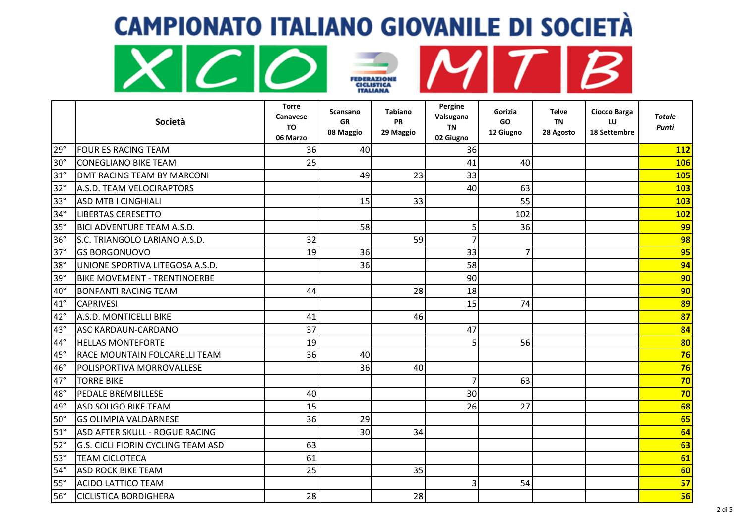







|              | Società                                   | Torre<br>Canavese<br>TO<br>06 Marzo | Scansano<br>GR<br>08 Maggio | <b>Tabiano</b><br><b>PR</b><br>29 Maggio | Pergine<br>Valsugana<br><b>TN</b><br>02 Giugno | Gorizia<br>GO<br>12 Giugno | Telve<br><b>TN</b><br>28 Agosto | Ciocco Barga<br>LU<br>18 Settembre | Totale<br>Punti |
|--------------|-------------------------------------------|-------------------------------------|-----------------------------|------------------------------------------|------------------------------------------------|----------------------------|---------------------------------|------------------------------------|-----------------|
| 29°          | <b>FOUR ES RACING TEAM</b>                | 36                                  | 40                          |                                          | 36                                             |                            |                                 |                                    | 112             |
| $30^\circ$   | <b>CONEGLIANO BIKE TEAM</b>               | 25                                  |                             |                                          | 41                                             | 40                         |                                 |                                    | <b>106</b>      |
| $31^\circ$   | DMT RACING TEAM BY MARCONI                |                                     | 49                          | 23                                       | 33                                             |                            |                                 |                                    | 105             |
| $32^\circ$   | A.S.D. TEAM VELOCIRAPTORS                 |                                     |                             |                                          | 40                                             | 63                         |                                 |                                    | 103             |
| $33^\circ$   | <b>ASD MTB I CINGHIALI</b>                |                                     | 15                          | 33                                       |                                                | 55                         |                                 |                                    | 103             |
| $34^\circ$   | <b>LIBERTAS CERESETTO</b>                 |                                     |                             |                                          |                                                | 102                        |                                 |                                    | 102             |
| 35°          | <b>BICI ADVENTURE TEAM A.S.D.</b>         |                                     | 58                          |                                          | 5                                              | 36                         |                                 |                                    | 99              |
| 36°          | S.C. TRIANGOLO LARIANO A.S.D.             | 32                                  |                             | 59                                       |                                                |                            |                                 |                                    | 98              |
| $37^\circ$   | <b>GS BORGONUOVO</b>                      | 19                                  | 36                          |                                          | 33                                             | 7                          |                                 |                                    | 95              |
| $38^\circ$   | UNIONE SPORTIVA LITEGOSA A.S.D.           |                                     | 36                          |                                          | 58                                             |                            |                                 |                                    | 94              |
| 39°          | <b>BIKE MOVEMENT - TRENTINOERBE</b>       |                                     |                             |                                          | 90                                             |                            |                                 |                                    | 90 <sub>l</sub> |
| $40^{\circ}$ | <b>BONFANTI RACING TEAM</b>               | 44                                  |                             | 28                                       | 18                                             |                            |                                 |                                    | 90 <sub>l</sub> |
| $41^{\circ}$ | <b>CAPRIVESI</b>                          |                                     |                             |                                          | 15                                             | 74                         |                                 |                                    | 89              |
| $42^{\circ}$ | A.S.D. MONTICELLI BIKE                    | 41                                  |                             | 46                                       |                                                |                            |                                 |                                    | 87              |
| $43^\circ$   | <b>ASC KARDAUN-CARDANO</b>                | 37                                  |                             |                                          | 47                                             |                            |                                 |                                    | 84              |
| 44°          | <b>HELLAS MONTEFORTE</b>                  | 19                                  |                             |                                          | 5                                              | 56                         |                                 |                                    | 80              |
| 45°          | <b>RACE MOUNTAIN FOLCARELLI TEAM</b>      | 36                                  | 40                          |                                          |                                                |                            |                                 |                                    | 76              |
| 46°          | POLISPORTIVA MORROVALLESE                 |                                     | 36                          | 40                                       |                                                |                            |                                 |                                    | 76              |
| $47^\circ$   | <b>TORRE BIKE</b>                         |                                     |                             |                                          | 7                                              | 63                         |                                 |                                    | 70              |
| 48°          | PEDALE BREMBILLESE                        | 40                                  |                             |                                          | 30                                             |                            |                                 |                                    | 70              |
| 49°          | <b>ASD SOLIGO BIKE TEAM</b>               | 15                                  |                             |                                          | 26                                             | 27                         |                                 |                                    | 68              |
| $50^{\circ}$ | <b>GS OLIMPIA VALDARNESE</b>              | 36                                  | 29                          |                                          |                                                |                            |                                 |                                    | 65              |
| $51^\circ$   | ASD AFTER SKULL - ROGUE RACING            |                                     | 30                          | 34                                       |                                                |                            |                                 |                                    | 64              |
| $52^\circ$   | <b>G.S. CICLI FIORIN CYCLING TEAM ASD</b> | 63                                  |                             |                                          |                                                |                            |                                 |                                    | 63              |
| $53^\circ$   | <b>TEAM CICLOTECA</b>                     | 61                                  |                             |                                          |                                                |                            |                                 |                                    | 61              |
| $54^\circ$   | <b>ASD ROCK BIKE TEAM</b>                 | 25                                  |                             | 35                                       |                                                |                            |                                 |                                    | 60              |
| $55^\circ$   | <b>ACIDO LATTICO TEAM</b>                 |                                     |                             |                                          | 3                                              | 54                         |                                 |                                    | 57              |
| $56^\circ$   | <b>CICLISTICA BORDIGHERA</b>              | 28                                  |                             | 28                                       |                                                |                            |                                 |                                    | 56              |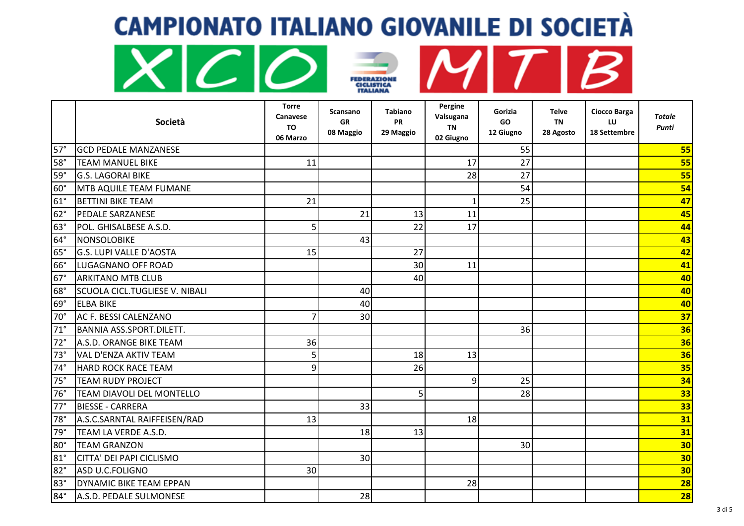





|            | Società                               | <b>Torre</b><br>Canavese<br><b>TO</b><br>06 Marzo | Scansano<br><b>GR</b><br>08 Maggio | <b>Tabiano</b><br><b>PR</b><br>29 Maggio | Pergine<br>Valsugana<br><b>TN</b><br>02 Giugno | Gorizia<br><b>GO</b><br>12 Giugno | <b>Telve</b><br><b>TN</b><br>28 Agosto | Ciocco Barga<br>LU<br>18 Settembre | <b>Totale</b><br><b>Punti</b> |
|------------|---------------------------------------|---------------------------------------------------|------------------------------------|------------------------------------------|------------------------------------------------|-----------------------------------|----------------------------------------|------------------------------------|-------------------------------|
| $57^\circ$ | <b>GCD PEDALE MANZANESE</b>           |                                                   |                                    |                                          |                                                | 55                                |                                        |                                    | 55                            |
| $58^\circ$ | <b>TEAM MANUEL BIKE</b>               | 11                                                |                                    |                                          | 17                                             | 27                                |                                        |                                    | 55                            |
| 59°        | <b>G.S. LAGORAI BIKE</b>              |                                                   |                                    |                                          | 28                                             | 27                                |                                        |                                    | 55                            |
| $60^\circ$ | MTB AQUILE TEAM FUMANE                |                                                   |                                    |                                          |                                                | 54                                |                                        |                                    | 54                            |
| $61^\circ$ | <b>BETTINI BIKE TEAM</b>              | 21                                                |                                    |                                          | $\mathbf 1$                                    | 25                                |                                        |                                    | 47                            |
| 62°        | <b>PEDALE SARZANESE</b>               |                                                   | 21                                 | 13                                       | 11                                             |                                   |                                        |                                    | 45                            |
| 63°        | POL. GHISALBESE A.S.D.                | 5                                                 |                                    | 22                                       | 17                                             |                                   |                                        |                                    | 44                            |
| $64^\circ$ | NONSOLOBIKE                           |                                                   | 43                                 |                                          |                                                |                                   |                                        |                                    | 43                            |
| $65^\circ$ | <b>G.S. LUPI VALLE D'AOSTA</b>        | 15                                                |                                    | 27                                       |                                                |                                   |                                        |                                    | 42                            |
| $66^\circ$ | LUGAGNANO OFF ROAD                    |                                                   |                                    | 30                                       | 11                                             |                                   |                                        |                                    | 41                            |
| $67^\circ$ | <b>ARKITANO MTB CLUB</b>              |                                                   |                                    | 40                                       |                                                |                                   |                                        |                                    | 40                            |
| 68°        | <b>SCUOLA CICL.TUGLIESE V. NIBALI</b> |                                                   | 40                                 |                                          |                                                |                                   |                                        |                                    | 40                            |
| 69°        | <b>ELBA BIKE</b>                      |                                                   | 40                                 |                                          |                                                |                                   |                                        |                                    | 40                            |
| 70°        | AC F. BESSI CALENZANO                 | 7                                                 | 30                                 |                                          |                                                |                                   |                                        |                                    | 37                            |
| $71^\circ$ | <b>BANNIA ASS.SPORT.DILETT.</b>       |                                                   |                                    |                                          |                                                | 36                                |                                        |                                    | 36                            |
| 72°        | A.S.D. ORANGE BIKE TEAM               | 36                                                |                                    |                                          |                                                |                                   |                                        |                                    | 36                            |
| $73^\circ$ | <b>VAL D'ENZA AKTIV TEAM</b>          | 5                                                 |                                    | 18                                       | 13                                             |                                   |                                        |                                    | 36                            |
| 74°        | <b>HARD ROCK RACE TEAM</b>            | 9                                                 |                                    | 26                                       |                                                |                                   |                                        |                                    | 35                            |
| $75^\circ$ | <b>TEAM RUDY PROJECT</b>              |                                                   |                                    |                                          | 9                                              | 25                                |                                        |                                    | 34                            |
| $76^\circ$ | <b>TEAM DIAVOLI DEL MONTELLO</b>      |                                                   |                                    | 5                                        |                                                | 28                                |                                        |                                    | 33                            |
| $77^\circ$ | <b>BIESSE - CARRERA</b>               |                                                   | 33                                 |                                          |                                                |                                   |                                        |                                    | 33                            |
| $78^\circ$ | A.S.C.SARNTAL RAIFFEISEN/RAD          | 13                                                |                                    |                                          | 18                                             |                                   |                                        |                                    | 31                            |
| 79°        | TEAM LA VERDE A.S.D.                  |                                                   | 18                                 | 13                                       |                                                |                                   |                                        |                                    | $\overline{31}$               |
| $80^\circ$ | <b>TEAM GRANZON</b>                   |                                                   |                                    |                                          |                                                | 30 <sup>1</sup>                   |                                        |                                    | 30                            |
| $81^\circ$ | CITTA' DEI PAPI CICLISMO              |                                                   | 30                                 |                                          |                                                |                                   |                                        |                                    | 30                            |
| 82°        | ASD U.C.FOLIGNO                       | 30                                                |                                    |                                          |                                                |                                   |                                        |                                    | 30                            |
| $83^\circ$ | <b>DYNAMIC BIKE TEAM EPPAN</b>        |                                                   |                                    |                                          | 28                                             |                                   |                                        |                                    | 28                            |

84° A.S.D. PEDALE SULMONESE 28 **28**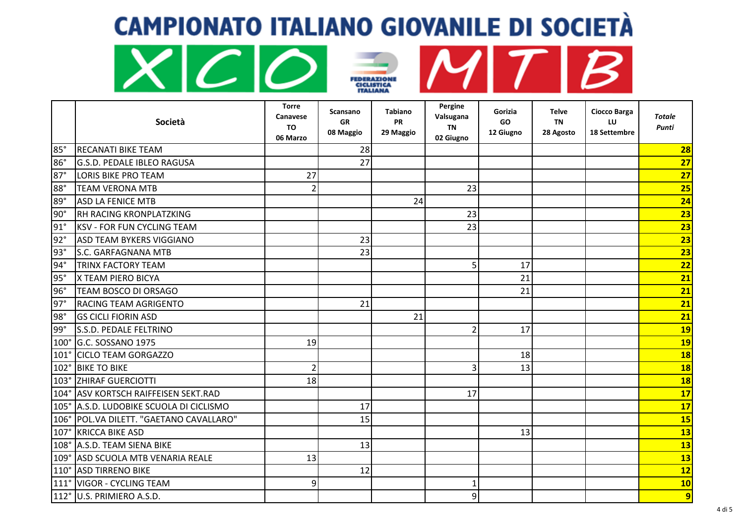





|                   | Società                                | <b>Torre</b><br><b>Canavese</b><br><b>TO</b><br>06 Marzo | Scansano<br><b>GR</b><br>08 Maggio | <b>Tabiano</b><br><b>PR</b><br>29 Maggio | Pergine<br>Valsugana<br><b>TN</b><br>02 Giugno | Gorizia<br><b>GO</b><br>12 Giugno | Telve<br><b>TN</b><br>28 Agosto | Ciocco Barga<br>LU<br>18 Settembre | <b>Totale</b><br>Punti |
|-------------------|----------------------------------------|----------------------------------------------------------|------------------------------------|------------------------------------------|------------------------------------------------|-----------------------------------|---------------------------------|------------------------------------|------------------------|
| 85°               | <b>RECANATI BIKE TEAM</b>              |                                                          | 28                                 |                                          |                                                |                                   |                                 |                                    | 28                     |
| 86°               | G.S.D. PEDALE IBLEO RAGUSA             |                                                          | 27                                 |                                          |                                                |                                   |                                 |                                    | 27                     |
| $87^\circ$        | <b>LORIS BIKE PRO TEAM</b>             | 27                                                       |                                    |                                          |                                                |                                   |                                 |                                    | 27                     |
| 88°               | <b>TEAM VERONA MTB</b>                 | $\overline{2}$                                           |                                    |                                          | 23                                             |                                   |                                 |                                    | 25                     |
| 89°               | <b>ASD LA FENICE MTB</b>               |                                                          |                                    | 24                                       |                                                |                                   |                                 |                                    | 24                     |
| $\overline{90}$ ° | RH RACING KRONPLATZKING                |                                                          |                                    |                                          | 23                                             |                                   |                                 |                                    | 23                     |
| $91^\circ$        | <b>KSV - FOR FUN CYCLING TEAM</b>      |                                                          |                                    |                                          | 23                                             |                                   |                                 |                                    | 23                     |
| $92^\circ$        | ASD TEAM BYKERS VIGGIANO               |                                                          | 23                                 |                                          |                                                |                                   |                                 |                                    | 23                     |
| $93^\circ$        | S.C. GARFAGNANA MTB                    |                                                          | 23                                 |                                          |                                                |                                   |                                 |                                    | 23                     |
| $94^\circ$        | TRINX FACTORY TEAM                     |                                                          |                                    |                                          | 5                                              | 17                                |                                 |                                    | 22                     |
| 95°               | X TEAM PIERO BICYA                     |                                                          |                                    |                                          |                                                | 21                                |                                 |                                    | 21                     |
| 96°               | TEAM BOSCO DI ORSAGO                   |                                                          |                                    |                                          |                                                | 21                                |                                 |                                    | 21                     |
| $97^\circ$        | <b>RACING TEAM AGRIGENTO</b>           |                                                          | 21                                 |                                          |                                                |                                   |                                 |                                    | 21                     |
| $98^\circ$        | <b>GS CICLI FIORIN ASD</b>             |                                                          |                                    | 21                                       |                                                |                                   |                                 |                                    | 21                     |
| 99°               | S.S.D. PEDALE FELTRINO                 |                                                          |                                    |                                          | 2                                              | 17                                |                                 |                                    | <b>19</b>              |
| $100^\circ$       | G.C. SOSSANO 1975                      | 19                                                       |                                    |                                          |                                                |                                   |                                 |                                    | <b>19</b>              |
| $101^\circ$       | <b>CICLO TEAM GORGAZZO</b>             |                                                          |                                    |                                          |                                                | 18                                |                                 |                                    | 18                     |
| 102°              | <b>BIKE TO BIKE</b>                    | $\overline{2}$                                           |                                    |                                          |                                                | 13                                |                                 |                                    | 18                     |
| 103°              | <b>ZHIRAF GUERCIOTTI</b>               | 18                                                       |                                    |                                          |                                                |                                   |                                 |                                    | 18                     |
|                   | 104°   ASV KORTSCH RAIFFEISEN SEKT.RAD |                                                          |                                    |                                          | 17                                             |                                   |                                 |                                    | 17                     |
| 105°              | A.S.D. LUDOBIKE SCUOLA DI CICLISMO     |                                                          | 17                                 |                                          |                                                |                                   |                                 |                                    | 17                     |
| 106°              | POL.VA DILETT. "GAETANO CAVALLARO"     |                                                          | 15                                 |                                          |                                                |                                   |                                 |                                    | 15                     |
| 107°              | <b>KRICCA BIKE ASD</b>                 |                                                          |                                    |                                          |                                                | 13                                |                                 |                                    | 13                     |
| 108°              | A.S.D. TEAM SIENA BIKE                 |                                                          | 13                                 |                                          |                                                |                                   |                                 |                                    | 13                     |
| 109°              | ASD SCUOLA MTB VENARIA REALE           | 13                                                       |                                    |                                          |                                                |                                   |                                 |                                    | 13                     |
| 110°              | <b>ASD TIRRENO BIKE</b>                |                                                          | 12                                 |                                          |                                                |                                   |                                 |                                    | 12                     |
| $111^\circ$       | <b>VIGOR - CYCLING TEAM</b>            | 9                                                        |                                    |                                          |                                                |                                   |                                 |                                    | <b>10</b>              |
|                   | 112° U.S. PRIMIERO A.S.D.              |                                                          |                                    |                                          | q                                              |                                   |                                 |                                    | $\overline{9}$         |